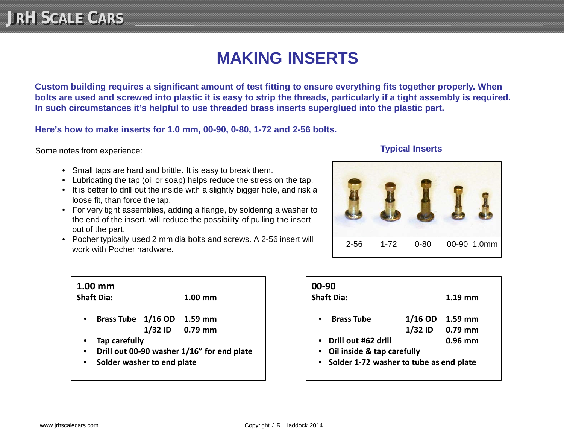## **MAKING INSERTS**

**Custom building requires a significant amount of test fitting to ensure everything fits together properly. When bolts are used and screwed into plastic it is easy to strip the threads, particularly if a tight assembly is required. In such circumstances it's helpful to use threaded brass inserts superglued into the plastic part.** 

**Here's how to make inserts for 1.0 mm, 00-90, 0-80, 1-72 and 2-56 bolts.**

Some notes from experience:

- Small taps are hard and brittle. It is easy to break them.
- Lubricating the tap (oil or soap) helps reduce the stress on the tap.
- It is better to drill out the inside with a slightly bigger hole, and risk a loose fit, than force the tap.
- For very tight assemblies, adding a flange, by soldering a washer to the end of the insert, will reduce the possibility of pulling the insert out of the part.
- Pocher typically used 2 mm dia bolts and screws. A 2-56 insert will Pocher typically used 2 min dia boits and screws. A 2-50 insert will  $\vert$  2-56 1-72 0-80 00-90 1.0mm



| $1.00$ mm                                  |                                    |  |                   |  |  |  |
|--------------------------------------------|------------------------------------|--|-------------------|--|--|--|
| <b>Shaft Dia:</b>                          |                                    |  | $1.00 \text{ mm}$ |  |  |  |
|                                            | Brass Tube 1/16 OD 1.59 mm         |  |                   |  |  |  |
|                                            |                                    |  | 1/32 ID 0.79 mm   |  |  |  |
| Tap carefully                              |                                    |  |                   |  |  |  |
| Drill out 00-90 washer 1/16" for end plate |                                    |  |                   |  |  |  |
|                                            | مدمام اممرم مديرم وامميين برمامامة |  |                   |  |  |  |

• **Solder washer to end plate**

| 00-90<br><b>Shaft Dia:</b>                |           | $1.19$ mm       |  |  |
|-------------------------------------------|-----------|-----------------|--|--|
| <b>Brass Tube</b><br>$\bullet$            | $1/16$ OD | $1.59$ mm       |  |  |
|                                           |           | 1/32 ID 0.79 mm |  |  |
| Drill out #62 drill<br>$\bullet$          |           | $0.96$ mm       |  |  |
| Oil inside & tap carefully<br>$\bullet$   |           |                 |  |  |
| • Solder 1-72 washer to tube as end plate |           |                 |  |  |
|                                           |           |                 |  |  |

## **Typical Inserts**